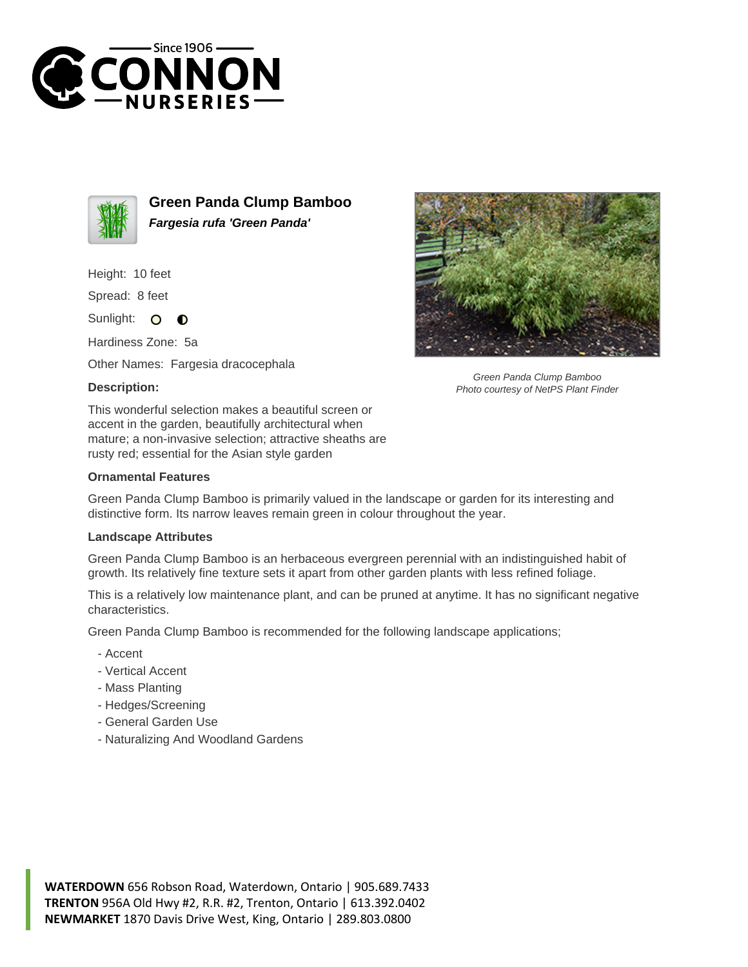



**Green Panda Clump Bamboo Fargesia rufa 'Green Panda'**

Height: 10 feet

Spread: 8 feet

Sunlight: O  $\bullet$ 

Hardiness Zone: 5a

Other Names: Fargesia dracocephala

## **Description:**



## **Ornamental Features**

Green Panda Clump Bamboo is primarily valued in the landscape or garden for its interesting and distinctive form. Its narrow leaves remain green in colour throughout the year.

## **Landscape Attributes**

Green Panda Clump Bamboo is an herbaceous evergreen perennial with an indistinguished habit of growth. Its relatively fine texture sets it apart from other garden plants with less refined foliage.

This is a relatively low maintenance plant, and can be pruned at anytime. It has no significant negative characteristics.

Green Panda Clump Bamboo is recommended for the following landscape applications;

- Accent
- Vertical Accent
- Mass Planting
- Hedges/Screening
- General Garden Use
- Naturalizing And Woodland Gardens



Green Panda Clump Bamboo Photo courtesy of NetPS Plant Finder

**WATERDOWN** 656 Robson Road, Waterdown, Ontario | 905.689.7433 **TRENTON** 956A Old Hwy #2, R.R. #2, Trenton, Ontario | 613.392.0402 **NEWMARKET** 1870 Davis Drive West, King, Ontario | 289.803.0800